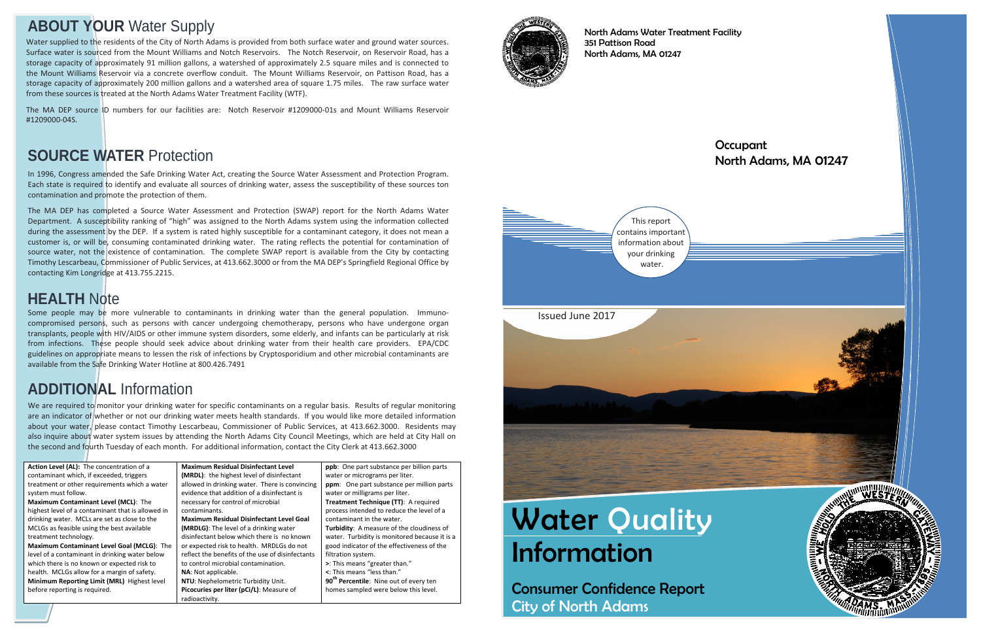# **Water Quality** Information

Consumer Confidence Report City of North Adams

## **Occupant** North Adams, MA 01247



North Adams Water Treatment Facility 351 Pattison Road North Adams, MA 01247

# **ABOUT YOUR** Water Supply

In 1996, Congress amended the Safe Drinking Water Act, creating the Source Water Assessment and Protection Program. Each state is required to identify and evaluate all sources of drinking water, assess the susceptibility of these sources ton contamination and promote the protection of them.

The MA DEP has completed <sup>a</sup> Source Water Assessment and Protection (SWAP) report for the North Adams Water Department. A susceptibility ranking of "high" was assigned to the North Adams system using the information collected during the assessment by the DEP. If a system is rated highly susceptible for a contaminant category, it does not mean a customer is, or will be, consuming contaminated drinking water. The rating reflects the potential for contamination of source water, not the existence of contamination. The complete SWAP report is available from the City by contacting Timothy Lescarbeau, Commissioner of Public Services, at 413.662.3000 or from the MA DEP's Springfield Regional Office by contacting Kim Longridge at 413.755.2215.

We are required to monitor your drinking water for specific contaminants on a regular basis. Results of regular monitoring are an indicator of whether or not our drinking water meets health standards. If you would like more detailed information about your water, please contact Timothy Lescarbeau, Commissioner of Public Services, at 413.662.3000. Residents may also inquire about water system issues by attending the North Adams City Council Meetings, which are held at City Hall on the second and fourth Tuesday of each month. For additional information, contact the City Clerk at 413.662.3000

# **SOURCE WATER** Protection

**Action Level (AL):** The concentration of <sup>a</sup> contaminant which, if exceeded, triggers treatment or other requirements which <sup>a</sup> water system must follow. **Maximum Contaminant Level (MCL)**: The highest level of <sup>a</sup> contaminant that is allowed in drinking water. MCLs are set as close to the MCLGs as feasible using the best available treatment technology. **Maximum Contaminant Level Goal (MCLG)**: The level of a contaminant in drinking water below which there is no known or expected risk to health. MCLGs allow for <sup>a</sup> margin of safety. **Minimum Reporting Limit (MRL)** Highest level before reporting is required.



**Maximum Residual Disinfectant Level (MRDL)**: the highest level of disinfectant allowed in drinking water. There is convincing evidence that addition of <sup>a</sup> disinfectant is necessary for control of microbial contaminants. **Maximum Residual Disinfectant Level Goal (MRDLG)**: The level of <sup>a</sup> drinking water disinfectant below which there is no known or expected risk to health. MRDLGs do not reflect the benefits of the use of disinfectants to control microbial contamination.

**NA**: Not applicable. **NTU**: Nephelometric Turbidity Unit. **Picocuries per liter (pCi/L)**: Measure of radioactivity.

**ppb**: One part substance per billion parts water or micrograms per liter. **ppm**: One part substance per million parts water or milligrams per liter. **Treatment Technique (TT)**: A required process intended to reduce the level of <sup>a</sup> contaminant in the water. **Turbidity**: A measure of the cloudiness of water. Turbidity is monitored because it is <sup>a</sup> good indicator of the effectiveness of the filtration system. **>**: This means "greater than." **<**: This means "less than."**<sup>90</sup>th Percentile**: Nine out of every ten homes sampled were below this level.



# **ADDITIONAL** Information

Some people may be more vulnerable to contaminants in drinking water than the general population. Immuno‐ compromised persons, such as persons with cancer undergoing chemotherapy, persons who have undergone organ transplants, people with HIV/AIDS or other immune system disorders, some elderly, and infants can be particularly at risk from infections. These people should seek advice about drinking water from their health care providers. EPA/CDC guidelines on appropriate means to lessen the risk of infections by Cryptosporidium and other microbial contaminants are available from the Safe Drinking Water Hotline at 800.426.7491

# **HEALTH** Note

Water supplied to the residents of the City of North Adams is provided from both surface water and ground water sources. Surface water is sourced from the Mount Williams and Notch Reservoirs. The Notch Reservoir, on Reservoir Road, has <sup>a</sup> storage capacity of approximately 91 million gallons, <sup>a</sup> watershed of approximately 2.5 square miles and is connected to the Mount Williams Reservoir via <sup>a</sup> concrete overflow conduit. The Mount Williams Reservoir, on Pattison Road, has <sup>a</sup> storage capacity of approximately 200 million gallons and <sup>a</sup> watershed area of square 1.75 miles. The raw surface water from these sources is treated at the North Adams Water Treatment Facility (WTF).

The MA DEP source ID numbers for our facilities are: Notch Reservoir #1209000‐01s and Mount Williams Reservoir #1209000‐04S.